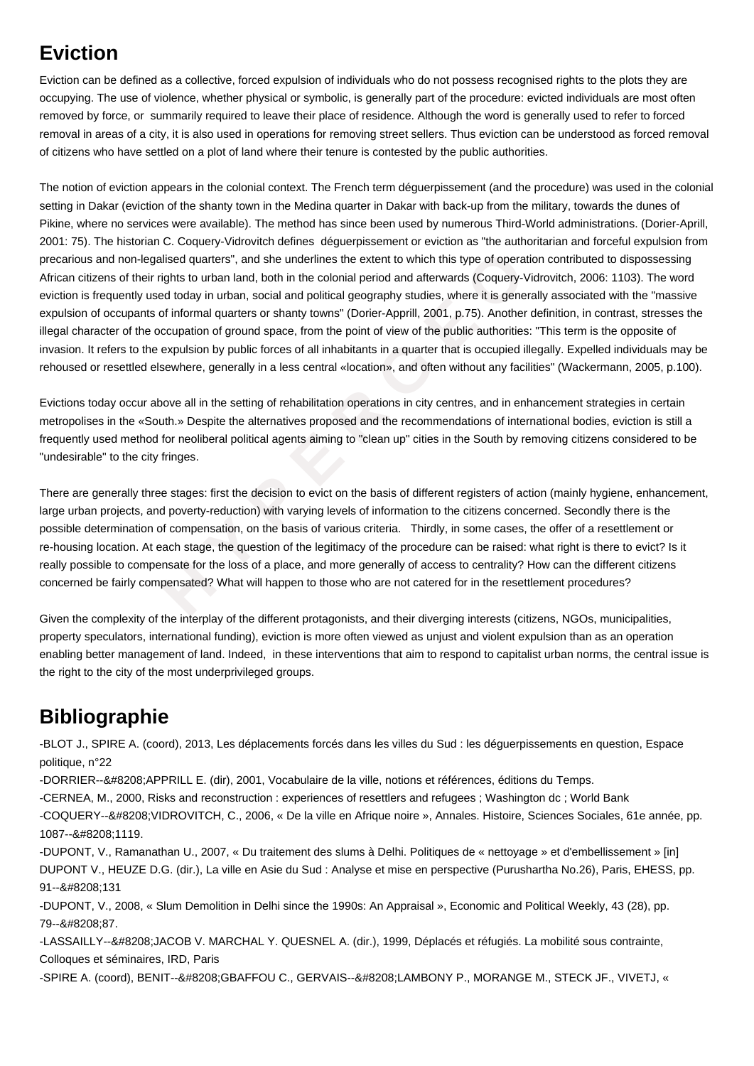## **Eviction**

Eviction can be defined as a collective, forced expulsion of individuals who do not possess recognised rights to the plots they are occupying. The use of violence, whether physical or symbolic, is generally part of the procedure: evicted individuals are most often removed by force, or summarily required to leave their place of residence. Although the word is generally used to refer to forced removal in areas of a city, it is also used in operations for removing street sellers. Thus eviction can be understood as forced removal of citizens who have settled on a plot of land where their tenure is contested by the public authorities.

on-legalised quarters", and she underlines the extent to which this type of operation<br>their rights to urban land, both in the colonial period and afterwards (Coquery-Vidra<br>http used today in urban, social and political geo The notion of eviction appears in the colonial context. The French term déguerpissement (and the procedure) was used in the colonial setting in Dakar (eviction of the shanty town in the Medina quarter in Dakar with back-up from the military, towards the dunes of Pikine, where no services were available). The method has since been used by numerous Third-World administrations. (Dorier-Aprill, 2001: 75). The historian C. Coquery-Vidrovitch defines déguerpissement or eviction as "the authoritarian and forceful expulsion from precarious and non-legalised quarters", and she underlines the extent to which this type of operation contributed to dispossessing African citizens of their rights to urban land, both in the colonial period and afterwards (Coquery-Vidrovitch, 2006: 1103). The word eviction is frequently used today in urban, social and political geography studies, where it is generally associated with the "massive expulsion of occupants of informal quarters or shanty towns" (Dorier-Apprill, 2001, p.75). Another definition, in contrast, stresses the illegal character of the occupation of ground space, from the point of view of the public authorities: "This term is the opposite of invasion. It refers to the expulsion by public forces of all inhabitants in a quarter that is occupied illegally. Expelled individuals may be rehoused or resettled elsewhere, generally in a less central «location», and often without any facilities" (Wackermann, 2005, p.100).

Evictions today occur above all in the setting of rehabilitation operations in city centres, and in enhancement strategies in certain metropolises in the «South.» Despite the alternatives proposed and the recommendations of international bodies, eviction is still a frequently used method for neoliberal political agents aiming to "clean up" cities in the South by removing citizens considered to be "undesirable" to the city fringes.

There are generally three stages: first the decision to evict on the basis of different registers of action (mainly hygiene, enhancement, large urban projects, and poverty-reduction) with varying levels of information to the citizens concerned. Secondly there is the possible determination of compensation, on the basis of various criteria. Thirdly, in some cases, the offer of a resettlement or re-housing location. At each stage, the question of the legitimacy of the procedure can be raised: what right is there to evict? Is it really possible to compensate for the loss of a place, and more generally of access to centrality? How can the different citizens concerned be fairly compensated? What will happen to those who are not catered for in the resettlement procedures?

Given the complexity of the interplay of the different protagonists, and their diverging interests (citizens, NGOs, municipalities, property speculators, international funding), eviction is more often viewed as unjust and violent expulsion than as an operation enabling better management of land. Indeed, in these interventions that aim to respond to capitalist urban norms, the central issue is the right to the city of the most underprivileged groups.

## **Bibliographie**

-BLOT J., SPIRE A. (coord), 2013, Les déplacements forcés dans les villes du Sud : les déguerpissements en question, Espace politique, n°22

-DORRIER--‐APPRILL E. (dir), 2001, Vocabulaire de la ville, notions et références, éditions du Temps.

-CERNEA, M., 2000, Risks and reconstruction : experiences of resettlers and refugees ; Washington dc ; World Bank

-COQUERY-‐VIDROVITCH, C., 2006, « De la ville en Afrique noire », Annales. Histoire, Sciences Sociales, 61e année, pp. 1087--‐1119.

-DUPONT, V., Ramanathan U., 2007, « Du traitement des slums à Delhi. Politiques de « nettoyage » et d'embellissement » [in] DUPONT V., HEUZE D.G. (dir.), La ville en Asie du Sud : Analyse et mise en perspective (Purushartha No.26), Paris, EHESS, pp. 91--&#8208:131

-DUPONT, V., 2008, « Slum Demolition in Delhi since the 1990s: An Appraisal », Economic and Political Weekly, 43 (28), pp. 79--&#8208:87.

-LASSAILLY--‐JACOB V. MARCHAL Y. QUESNEL A. (dir.), 1999, Déplacés et réfugiés. La mobilité sous contrainte, Colloques et séminaires, IRD, Paris

-SPIRE A. (coord), BENIT--‐GBAFFOU C., GERVAIS--‐LAMBONY P., MORANGE M., STECK JF., VIVETJ, «